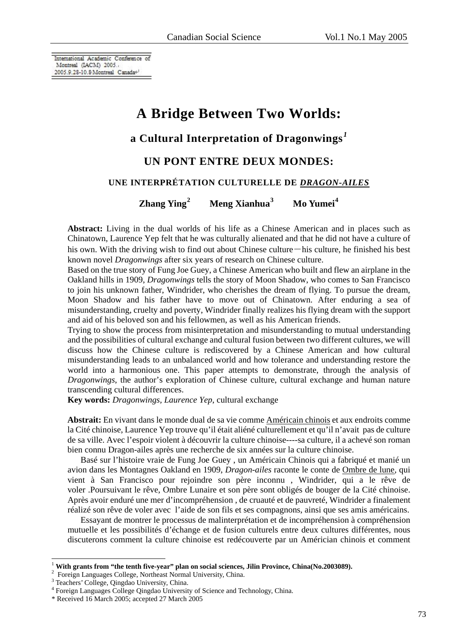International Academic Conference of Montreal (IACM) 2005. 2005.9.28-10.8 Montreal Canada<sup>4</sup>

# **A Bridge Between Two Worlds:**

# **a Cultural Interpretation of Dragonwings** *[1](#page-0-0)*

## **UN PONT ENTRE DEUX MONDES:**

## **UNE INTERPRÉTATION CULTURELLE DE** *DRAGON-AILES*

**Zhang Ying[2](#page-0-1) Meng Xianhua[3](#page-0-2) Mo Yumei[4](#page-0-3)**

**Abstract:** Living in the dual worlds of his life as a Chinese American and in places such as Chinatown, Laurence Yep felt that he was culturally alienated and that he did not have a culture of his own. With the driving wish to find out about Chinese culture—his culture, he finished his best known novel *Dragonwings* after six years of research on Chinese culture.

Based on the true story of Fung Joe Guey, a Chinese American who built and flew an airplane in the Oakland hills in 1909, *Dragonwings* tells the story of Moon Shadow, who comes to San Francisco to join his unknown father, Windrider, who cherishes the dream of flying. To pursue the dream, Moon Shadow and his father have to move out of Chinatown. After enduring a sea of misunderstanding, cruelty and poverty, Windrider finally realizes his flying dream with the support and aid of his beloved son and his fellowmen, as well as his American friends.

Trying to show the process from misinterpretation and misunderstanding to mutual understanding and the possibilities of cultural exchange and cultural fusion between two different cultures, we will discuss how the Chinese culture is rediscovered by a Chinese American and how cultural misunderstanding leads to an unbalanced world and how tolerance and understanding restore the world into a harmonious one. This paper attempts to demonstrate, through the analysis of *Dragonwings*, the author's exploration of Chinese culture, cultural exchange and human nature transcending cultural differences.

**Key words:** *Dragonwings, Laurence Yep*, cultural exchange

**Abstrait:** En vivant dans le monde dual de sa vie comme Américain chinois et aux endroits comme la Cité chinoise, Laurence Yep trouve qu'il était aliéné culturellement et qu'il n'avait pas de culture de sa ville. Avec l'espoir violent à découvrir la culture chinoise----sa culture, il a achevé son roman bien connu Dragon-ailes après une recherche de six années sur la culture chinoise.

 Basé sur l'histoire vraie de Fung Joe Guey , un Américain Chinois qui a fabriqué et manié un avion dans les Montagnes Oakland en 1909, *Dragon-ailes* raconte le conte de Ombre de lune, qui vient à San Francisco pour rejoindre son père inconnu , Windrider, qui a le rêve de voler .Poursuivant le rêve, Ombre Lunaire et son père sont obligés de bouger de la Cité chinoise. Après avoir enduré une mer d'incompréhension , de cruauté et de pauvreté, Windrider a finalement réalizé son rêve de voler avec l'aide de son fils et ses compagnons, ainsi que ses amis américains.

 Essayant de montrer le processus de malinterprétation et de incompréhension à compréhension mutuelle et les possibilités d'échange et de fusion culturels entre deux cultures différentes, nous discuterons comment la culture chinoise est redécouverte par un Américian chinois et comment

 $\overline{a}$ 

<span id="page-0-0"></span><sup>&</sup>lt;sup>1</sup> With grants from "the tenth five-year" plan on social sciences, Jilin Province, China(No.2003089).

Foreign Languages College, Northeast Normal University, China.

<span id="page-0-2"></span><span id="page-0-1"></span><sup>&</sup>lt;sup>3</sup> Teachers' College, Qingdao University, China.<br><sup>4</sup> Eersica I anguages College Qingdao University

<span id="page-0-3"></span>Foreign Languages College Qingdao University of Science and Technology, China.

<sup>\*</sup> Received 16 March 2005; accepted 27 March 2005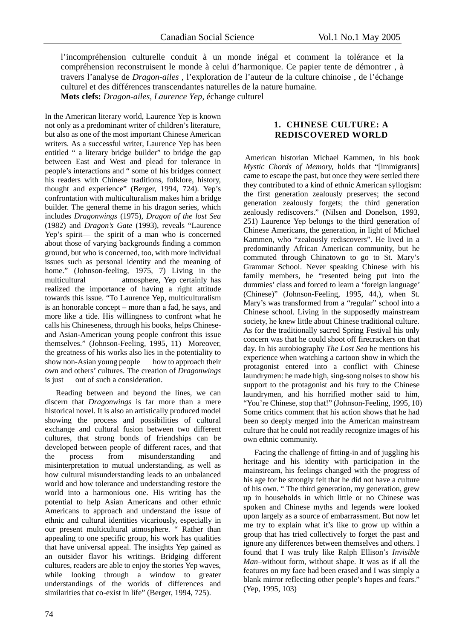l'incompréhension culturelle conduit à un monde inégal et comment la tolérance et la compréhension reconstruisent le monde à celui d'harmonique. Ce papier tente de démontrer , à travers l'analyse de *Dragon-ailes* , l'exploration de l'auteur de la culture chinoise , de l'échange culturel et des différences transcendantes naturelles de la nature humaine.

**Mots clefs:** *Dragon-ailes*, *Laurence Yep,* échange culturel

In the American literary world, Laurence Yep is known not only as a predominant writer of children's literature, but also as one of the most important Chinese American writers. As a successful writer, Laurence Yep has been entitled " a literary bridge builder" to bridge the gap between East and West and plead for tolerance in people's interactions and " some of his bridges connect his readers with Chinese traditions, folklore, history, thought and experience" (Berger, 1994, 724). Yep's confrontation with multiculturalism makes him a bridge builder. The general theme in his dragon series, which includes *Dragonwings* (1975), *Dragon of the lost Sea*  (1982) and *Dragon's Gate* (1993), reveals "Laurence Yep's spirit— the spirit of a man who is concerned about those of varying backgrounds finding a common ground, but who is concerned, too, with more individual issues such as personal identity and the meaning of home." (Johnson-feeling, 1975, 7) Living in the multicultural atmosphere, Yep certainly has realized the importance of having a right attitude towards this issue. "To Laurence Yep, multiculturalism is an honorable concept – more than a fad, he says, and more like a tide. His willingness to confront what he calls his Chineseness, through his books, helps Chineseand Asian-American young people confront this issue themselves." (Johnson-Feeling, 1995, 11) Moreover, the greatness of his works also lies in the potentiality to show non-Asian young people how to approach their own and others' cultures. The creation of *Dragonwings*  is just out of such a consideration.

Reading between and beyond the lines, we can discern that *Dragonwings* is far more than a mere historical novel. It is also an artistically produced model showing the process and possibilities of cultural exchange and cultural fusion between two different cultures, that strong bonds of friendships can be developed between people of different races, and that the process from misunderstanding and misinterpretation to mutual understanding, as well as how cultural misunderstanding leads to an unbalanced world and how tolerance and understanding restore the world into a harmonious one. His writing has the potential to help Asian Americans and other ethnic Americans to approach and understand the issue of ethnic and cultural identities vicariously, especially in our present multicultural atmosphere. " Rather than appealing to one specific group, his work has qualities that have universal appeal. The insights Yep gained as an outsider flavor his writings. Bridging different cultures, readers are able to enjoy the stories Yep waves, while looking through a window to greater understandings of the worlds of differences and similarities that co-exist in life" (Berger, 1994, 725).

#### **1. CHINESE CULTURE: A REDISCOVERED WORLD**

 American historian Michael Kammen, in his book *Mystic Chords of Memory,* holds that "[immigrants] came to escape the past, but once they were settled there they contributed to a kind of ethnic American syllogism: the first generation zealously preserves; the second generation zealously forgets; the third generation zealously rediscovers." (Nilsen and Donelson, 1993, 251) Laurence Yep belongs to the third generation of Chinese Americans, the generation, in light of Michael Kammen, who "zealously rediscovers". He lived in a predominantly African American community, but he commuted through Chinatown to go to St. Mary's Grammar School. Never speaking Chinese with his family members, he "resented being put into the dummies' class and forced to learn a 'foreign language' (Chinese)" (Johnson-Feeling, 1995, 44,), when St. Mary's was transformed from a "regular" school into a Chinese school. Living in the supposedly mainstream society, he knew little about Chinese traditional culture. As for the traditionally sacred Spring Festival his only concern was that he could shoot off firecrackers on that day. In his autobiography *The Lost Sea* he mentions his experience when watching a cartoon show in which the protagonist entered into a conflict with Chinese laundrymen: he made high, sing-song noises to show his support to the protagonist and his fury to the Chinese laundrymen, and his horrified mother said to him, "You're Chinese, stop that!" (Johnson-Feeling, 1995, 10) Some critics comment that his action shows that he had been so deeply merged into the American mainstream culture that he could not readily recognize images of his own ethnic community.

Facing the challenge of fitting-in and of juggling his heritage and his identity with participation in the mainstream, his feelings changed with the progress of his age for he strongly felt that he did not have a culture of his own. " The third generation, my generation, grew up in households in which little or no Chinese was spoken and Chinese myths and legends were looked upon largely as a source of embarrassment. But now let me try to explain what it's like to grow up within a group that has tried collectively to forget the past and ignore any differences between themselves and others. I found that I was truly like Ralph Ellison's *Invisible Man–*without form, without shape. It was as if all the features on my face had been erased and I was simply a blank mirror reflecting other people's hopes and fears." (Yep, 1995, 103)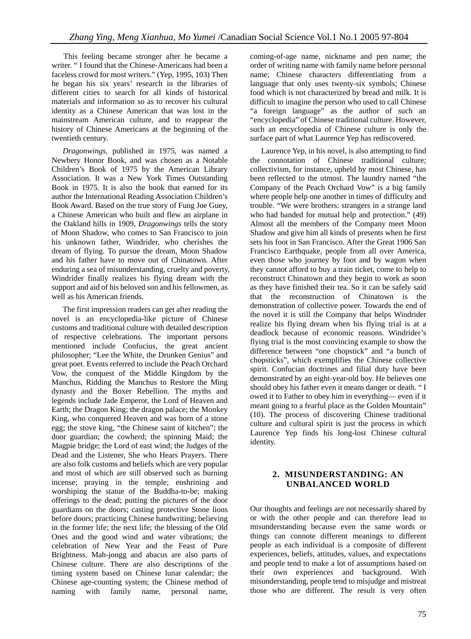This feeling became stronger after he became a writer. " I found that the Chinese-Americans had been a faceless crowd for most writers." (Yep, 1995, 103) Then he began his six years' research in the libraries of different cities to search for all kinds of historical materials and information so as to recover his cultural identity as a Chinese American that was lost in the mainstream American culture, and to reappear the history of Chinese Americans at the beginning of the twentieth century.

*Dragonwings*, published in 1975, was named a Newbery Honor Book, and was chosen as a Notable Children's Book of 1975 by the American Library Association. It was a New York Times Outstanding Book in 1975. It is also the book that earned for its author the International Reading Association Children's Book Award. Based on the true story of Fung Joe Guey, a Chinese American who built and flew an airplane in the Oakland hills in 1909, *Dragonwings* tells the story of Moon Shadow, who comes to San Francisco to join his unknown father, Windrider, who cherishes the dream of flying. To pursue the dream, Moon Shadow and his father have to move out of Chinatown. After enduring a sea of misunderstanding, cruelty and poverty, Windrider finally realizes his flying dream with the support and aid of his beloved son and his fellowmen, as well as his American friends.

The first impression readers can get after reading the novel is an encyclopedia-like picture of Chinese customs and traditional culture with detailed description of respective celebrations. The important persons mentioned include Confucius, the great ancient philosopher; "Lee the White, the Drunken Genius" and great poet. Events referred to include the Peach Orchard Vow, the conquest of the Middle Kingdom by the Manchus, Ridding the Manchus to Restore the Ming dynasty and the Boxer Rebellion. The myths and legends include Jade Emperor, the Lord of Heaven and Earth; the Dragon King; the dragon palace; the Monkey King, who conquered Heaven and was born of a stone egg; the stove king, "the Chinese saint of kitchen"; the door guardian; the cowherd; the spinning Maid; the Magpie bridge; the Lord of east wind; the Judges of the Dead and the Listener, She who Hears Prayers. There are also folk customs and beliefs which are very popular and most of which are still observed such as burning incense; praying in the temple; enshrining and worshiping the statue of the Buddha-to-be; making offerings to the dead; putting the pictures of the door guardians on the doors; casting protective Stone lions before doors; practicing Chinese handwriting; believing in the former life; the next life; the blessing of the Old Ones and the good wind and water vibrations; the celebration of New Year and the Feast of Pure Brightness. Mah-jongg and abacus are also parts of Chinese culture. There are also descriptions of the timing system based on Chinese lunar calendar; the Chinese age-counting system; the Chinese method of naming with family name, personal name, coming-of-age name, nickname and pen name; the order of writing name with family name before personal name; Chinese characters differentiating from a language that only uses twenty-six symbols; Chinese food which is not characterized by bread and milk. It is difficult to imagine the person who used to call Chinese "a foreign language" as the author of such an "encyclopedia" of Chinese traditional culture. However, such an encyclopedia of Chinese culture is only the surface part of what Laurence Yep has rediscovered.

Laurence Yep, in his novel, is also attempting to find the connotation of Chinese traditional culture; collectivism, for instance, upheld by most Chinese, has been reflected to the utmost. The laundry named "the Company of the Peach Orchard Vow" is a big family where people help one another in times of difficulty and trouble. "We were brothers: strangers in a strange land who had banded for mutual help and protection." (49) Almost all the members of the Company meet Moon Shadow and give him all kinds of presents when he first sets his foot in San Francisco. After the Great 1906 San Francisco Earthquake, people from all over America, even those who journey by foot and by wagon when they cannot afford to buy a train ticket, come to help to reconstruct Chinatown and they begin to work as soon as they have finished their tea. So it can be safely said that the reconstruction of Chinatown is the demonstration of collective power. Towards the end of the novel it is still the Company that helps Windrider realize his flying dream when his flying trial is at a deadlock because of economic reasons. Windrider's flying trial is the most convincing example to show the difference between "one chopstick" and "a bunch of chopsticks", which exemplifies the Chinese collective spirit. Confucian doctrines and filial duty have been demonstrated by an eight-year-old boy. He believes one should obey his father even it means danger or death. " I owed it to Father to obey him in everything— even if it meant going to a fearful place as the Golden Mountain" (10). The process of discovering Chinese traditional culture and cultural spirit is just the process in which Laurence Yep finds his long-lost Chinese cultural identity.

### **2. MISUNDERSTANDING: AN UNBALANCED WORLD**

Our thoughts and feelings are not necessarily shared by or with the other people and can therefore lead to misunderstanding because even the same words or things can connote different meanings to different people as each individual is a composite of different experiences, beliefs, attitudes, values, and expectations and people tend to make a lot of assumptions based on their own experiences and background. With misunderstanding, people tend to misjudge and mistreat those who are different. The result is very often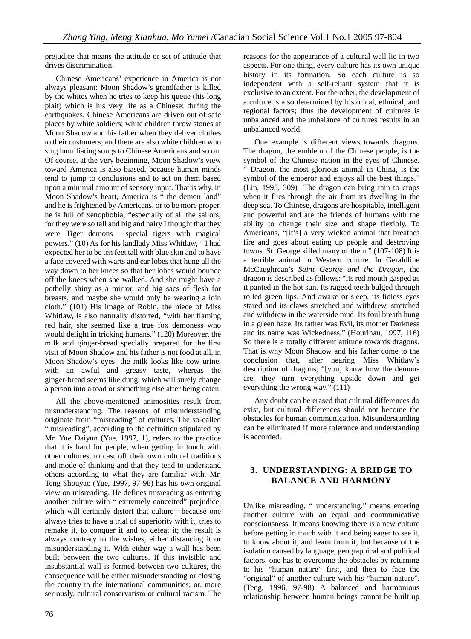prejudice that means the attitude or set of attitude that drives discrimination.

Chinese Americans' experience in America is not always pleasant: Moon Shadow's grandfather is killed by the whites when he tries to keep his queue (his long plait) which is his very life as a Chinese; during the earthquakes, Chinese Americans are driven out of safe places by white soldiers; white children throw stones at Moon Shadow and his father when they deliver clothes to their customers; and there are also white children who sing humiliating songs to Chinese Americans and so on. Of course, at the very beginning, Moon Shadow's view toward America is also biased, because human minds tend to jump to conclusions and to act on them based upon a minimal amount of sensory input. That is why, in Moon Shadow's heart, America is " the demon land" and he is frightened by Americans, or to be more proper, he is full of xenophobia, "especially of all the sailors, for they were so tall and big and hairy I thought that they were Tiger demons — special tigers with magical powers." (10) As for his landlady Miss Whitlaw, " I had expected her to be ten feet tall with blue skin and to have a face covered with warts and ear lobes that hung all the way down to her knees so that her lobes would bounce off the knees when she walked. And she might have a potbelly shiny as a mirror, and big sacs of flesh for breasts, and maybe she would only be wearing a loin cloth." (101) His image of Robin, the niece of Miss Whitlaw, is also naturally distorted, "with her flaming red hair, she seemed like a true fox demoness who would delight in tricking humans." (120) Moreover, the milk and ginger-bread specially prepared for the first visit of Moon Shadow and his father is not food at all, in Moon Shadow's eyes: the milk looks like cow urine, with an awful and greasy taste, whereas the ginger-bread seems like dung, which will surely change a person into a toad or something else after being eaten.

All the above-mentioned animosities result from misunderstanding. The reasons of misunderstanding originate from "misreading" of cultures. The so-called " misreading", according to the definition stipulated by Mr. Yue Daiyun (Yue, 1997, 1), refers to the practice that it is hard for people, when getting in touch with other cultures, to cast off their own cultural traditions and mode of thinking and that they tend to understand others according to what they are familiar with. Mr. Teng Shouyao (Yue, 1997, 97-98) has his own original view on misreading. He defines misreading as entering another culture with " extremely conceited" prejudice, which will certainly distort that culture—because one always tries to have a trial of superiority with it, tries to remake it, to conquer it and to defeat it; the result is always contrary to the wishes, either distancing it or misunderstanding it. With either way a wall has been built between the two cultures. If this invisible and insubstantial wall is formed between two cultures, the consequence will be either misunderstanding or closing the country to the international communities; or, more seriously, cultural conservatism or cultural racism. The

reasons for the appearance of a cultural wall lie in two aspects. For one thing, every culture has its own unique history in its formation. So each culture is so independent with a self-reliant system that it is exclusive to an extent. For the other, the development of a culture is also determined by historical, ethnical, and regional factors; thus the development of cultures is unbalanced and the unbalance of cultures results in an unbalanced world.

One example is different views towards dragons. The dragon, the emblem of the Chinese people, is the symbol of the Chinese nation in the eyes of Chinese. " Dragon, the most glorious animal in China, is the symbol of the emperor and enjoys all the best things." (Lin, 1995, 309) The dragon can bring rain to crops when it flies through the air from its dwelling in the deep sea. To Chinese, dragons are hospitable, intelligent and powerful and are the friends of humans with the ability to change their size and shape flexibly. To Americans, "[it's] a very wicked animal that breathes fire and goes about eating up people and destroying towns. St. George killed many of them." (107-108) It is a terrible animal in Western culture. In Geraldline McCaughrean's *Saint George and the Dragon*, the dragon is described as follows: "its red mouth gasped as it panted in the hot sun. Its ragged teeth bulged through rolled green lips. And awake or sleep, its lidless eyes stared and its claws stretched and withdrew, stretched and withdrew in the waterside mud. Its foul breath hung in a green haze. Its father was Evil, its mother Darkness and its name was Wickedness." (Hourihau, 1997, 116) So there is a totally different attitude towards dragons. That is why Moon Shadow and his father come to the conclusion that, after hearing Miss Whitlaw's description of dragons, "[you] know how the demons are, they turn everything upside down and get everything the wrong way." (111)

Any doubt can be erased that cultural differences do exist, but cultural differences should not become the obstacles for human communication. Misunderstanding can be eliminated if more tolerance and understanding is accorded.

#### **3. UNDERSTANDING: A BRIDGE TO BALANCE AND HARMONY**

Unlike misreading, " understanding," means entering another culture with an equal and communicative consciousness. It means knowing there is a new culture before getting in touch with it and being eager to see it, to know about it, and learn from it; but because of the isolation caused by language, geographical and political factors, one has to overcome the obstacles by returning to his "human nature" first, and then to face the "original" of another culture with his "human nature". (Teng, 1996, 97-98) A balanced and harmonious relationship between human beings cannot be built up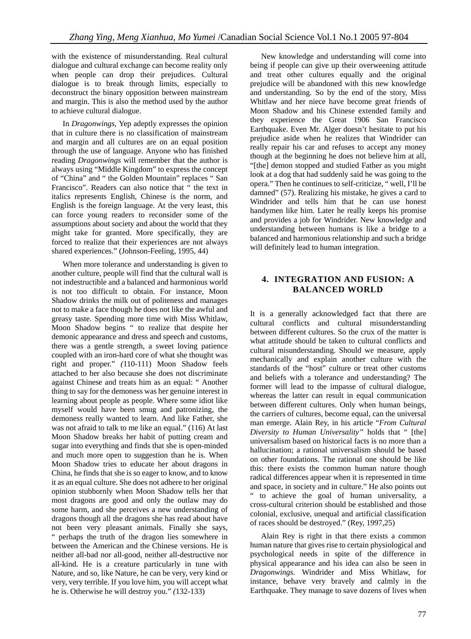with the existence of misunderstanding. Real cultural dialogue and cultural exchange can become reality only when people can drop their prejudices. Cultural dialogue is to break through limits, especially to deconstruct the binary opposition between mainstream and margin. This is also the method used by the author to achieve cultural dialogue.

In *Dragonwings*, Yep adeptly expresses the opinion that in culture there is no classification of mainstream and margin and all cultures are on an equal position through the use of language. Anyone who has finished reading *Dragonwings* will remember that the author is always using "Middle Kingdom" to express the concept of "China" and " the Golden Mountain" replaces " San Francisco". Readers can also notice that " the text in italics represents English, Chinese is the norm, and English is the foreign language. At the very least, this can force young readers to reconsider some of the assumptions about society and about the world that they might take for granted. More specifically, they are forced to realize that their experiences are not always shared experiences." (Johnson-Feeling, 1995, 44)

When more tolerance and understanding is given to another culture, people will find that the cultural wall is not indestructible and a balanced and harmonious world is not too difficult to obtain. For instance, Moon Shadow drinks the milk out of politeness and manages not to make a face though he does not like the awful and greasy taste. Spending more time with Miss Whitlaw, Moon Shadow begins " to realize that despite her demonic appearance and dress and speech and customs, there was a gentle strength, a sweet loving patience coupled with an iron-hard core of what she thought was right and proper." *(*110-111) Moon Shadow feels attached to her also because she does not discriminate against Chinese and treats him as an equal: " Another thing to say for the demoness was her genuine interest in learning about people as people. Where some idiot like myself would have been smug and patronizing, the demoness really wanted to learn. And like Father, she was not afraid to talk to me like an equal." (116) At last Moon Shadow breaks her habit of putting cream and sugar into everything and finds that she is open-minded and much more open to suggestion than he is. When Moon Shadow tries to educate her about dragons in China, he finds that she is so eager to know, and to know it as an equal culture. She does not adhere to her original opinion stubbornly when Moon Shadow tells her that most dragons are good and only the outlaw may do some harm, and she perceives a new understanding of dragons though all the dragons she has read about have not been very pleasant animals. Finally she says, " perhaps the truth of the dragon lies somewhere in between the American and the Chinese versions. He is neither all-bad nor all-good, neither all-destructive nor all-kind. He is a creature particularly in tune with Nature, and so, like Nature, he can be very, very kind or very, very terrible. If you love him, you will accept what he is. Otherwise he will destroy you." *(*132-133)

New knowledge and understanding will come into being if people can give up their overweening attitude and treat other cultures equally and the original prejudice will be abandoned with this new knowledge and understanding. So by the end of the story, Miss Whitlaw and her niece have become great friends of Moon Shadow and his Chinese extended family and they experience the Great 1906 San Francisco Earthquake. Even Mr. Alger doesn't hesitate to put his prejudice aside when he realizes that Windrider can really repair his car and refuses to accept any money though at the beginning he does not believe him at all, "[the] demon stopped and studied Father as you might look at a dog that had suddenly said he was going to the opera." Then he continues to self-criticize, " well, I'll be damned" (57). Realizing his mistake, he gives a card to Windrider and tells him that he can use honest handymen like him. Later he really keeps his promise and provides a job for Windrider. New knowledge and understanding between humans is like a bridge to a balanced and harmonious relationship and such a bridge will definitely lead to human integration.

#### **4. INTEGRATION AND FUSION: A BALANCED WORLD**

It is a generally acknowledged fact that there are cultural conflicts and cultural misunderstanding between different cultures. So the crux of the matter is what attitude should be taken to cultural conflicts and cultural misunderstanding. Should we measure, apply mechanically and explain another culture with the standards of the "host" culture or treat other customs and beliefs with a tolerance and understanding? The former will lead to the impasse of cultural dialogue, whereas the latter can result in equal communication between different cultures. Only when human beings, the carriers of cultures, become equal, can the universal man emerge. Alain Rey, in his article "*From Cultural Diversity to Human Universality"* holds that " [the] universalism based on historical facts is no more than a hallucination; a rational universalism should be based on other foundations. The rational one should be like this: there exists the common human nature though radical differences appear when it is represented in time and space, in society and in culture." He also points out " to achieve the goal of human universality, a cross-cultural criterion should be established and those colonial, exclusive, unequal and artificial classification of races should be destroyed." (Rey, 1997,25)

Alain Rey is right in that there exists a common human nature that gives rise to certain physiological and psychological needs in spite of the difference in physical appearance and his idea can also be seen in *Dragonwings.* Windrider and Miss Whitlaw, for instance, behave very bravely and calmly in the Earthquake. They manage to save dozens of lives when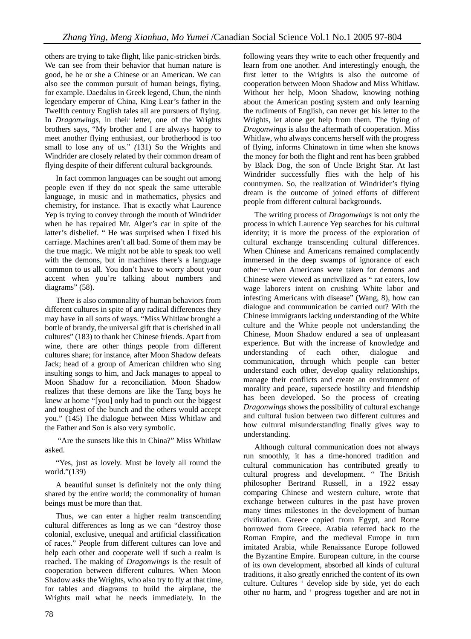others are trying to take flight, like panic-stricken birds. We can see from their behavior that human nature is good, be he or she a Chinese or an American. We can also see the common pursuit of human beings, flying, for example. Daedalus in Greek legend, Chun, the ninth legendary emperor of China, King Lear's father in the Twelfth century English tales all are pursuers of flying. In *Dragonwings*, in their letter, one of the Wrights brothers says, "My brother and I are always happy to meet another flying enthusiast, our brotherhood is too small to lose any of us." *(*131) So the Wrights and Windrider are closely related by their common dream of flying despite of their different cultural backgrounds.

In fact common languages can be sought out among people even if they do not speak the same utterable language, in music and in mathematics, physics and chemistry, for instance. That is exactly what Laurence Yep is trying to convey through the mouth of Windrider when he has repaired Mr. Alger's car in spite of the latter's disbelief. " He was surprised when I fixed his carriage. Machines aren't all bad. Some of them may be the true magic. We might not be able to speak too well with the demons, but in machines there's a language common to us all. You don't have to worry about your accent when you're talking about numbers and diagrams" (58).

There is also commonality of human behaviors from different cultures in spite of any radical differences they may have in all sorts of ways. "Miss Whitlaw brought a bottle of brandy, the universal gift that is cherished in all cultures" (183) to thank her Chinese friends. Apart from wine, there are other things people from different cultures share; for instance, after Moon Shadow defeats Jack; head of a group of American children who sing insulting songs to him, and Jack manages to appeal to Moon Shadow for a reconciliation. Moon Shadow realizes that these demons are like the Tang boys he knew at home "[you] only had to punch out the biggest and toughest of the bunch and the others would accept you." (145) The dialogue between Miss Whitlaw and the Father and Son is also very symbolic.

 "Are the sunsets like this in China?" Miss Whitlaw asked.

"Yes, just as lovely. Must be lovely all round the world."(139)

A beautiful sunset is definitely not the only thing shared by the entire world; the commonality of human beings must be more than that.

Thus, we can enter a higher realm transcending cultural differences as long as we can "destroy those colonial, exclusive, unequal and artificial classification of races." People from different cultures can love and help each other and cooperate well if such a realm is reached. The making of *Dragonwings* is the result of cooperation between different cultures. When Moon Shadow asks the Wrights, who also try to fly at that time, for tables and diagrams to build the airplane, the Wrights mail what he needs immediately. In the

following years they write to each other frequently and learn from one another. And interestingly enough, the first letter to the Wrights is also the outcome of cooperation between Moon Shadow and Miss Whitlaw. Without her help, Moon Shadow, knowing nothing about the American posting system and only learning the rudiments of English, can never get his letter to the Wrights, let alone get help from them. The flying of *Dragonwings* is also the aftermath of cooperation. Miss Whitlaw, who always concerns herself with the progress of flying, informs Chinatown in time when she knows the money for both the flight and rent has been grabbed by Black Dog, the son of Uncle Bright Star. At last Windrider successfully flies with the help of his countrymen. So, the realization of Windrider's flying dream is the outcome of joined efforts of different people from different cultural backgrounds.

The writing process of *Dragonwings* is not only the process in which Laurence Yep searches for his cultural identity; it is more the process of the exploration of cultural exchange transcending cultural differences. When Chinese and Americans remained complacently immersed in the deep swamps of ignorance of each other―when Americans were taken for demons and Chinese were viewed as uncivilized as " rat eaters, low wage laborers intent on crushing White labor and infesting Americans with disease" (Wang, 8), how can dialogue and communication be carried out? With the Chinese immigrants lacking understanding of the White culture and the White people not understanding the Chinese, Moon Shadow endured a sea of unpleasant experience. But with the increase of knowledge and understanding of each other, dialogue and communication, through which people can better understand each other, develop quality relationships, manage their conflicts and create an environment of morality and peace, supersede hostility and friendship has been developed. So the process of creating *Dragonwings* shows the possibility of cultural exchange and cultural fusion between two different cultures and how cultural misunderstanding finally gives way to understanding.

Although cultural communication does not always run smoothly, it has a time-honored tradition and cultural communication has contributed greatly to cultural progress and development. " The British philosopher Bertrand Russell, in a 1922 essay comparing Chinese and western culture, wrote that exchange between cultures in the past have proven many times milestones in the development of human civilization. Greece copied from Egypt, and Rome borrowed from Greece. Arabia referred back to the Roman Empire, and the medieval Europe in turn imitated Arabia, while Renaissance Europe followed the Byzantine Empire. European culture, in the course of its own development, absorbed all kinds of cultural traditions, it also greatly enriched the content of its own culture. Cultures ' develop side by side, yet do each other no harm, and ' progress together and are not in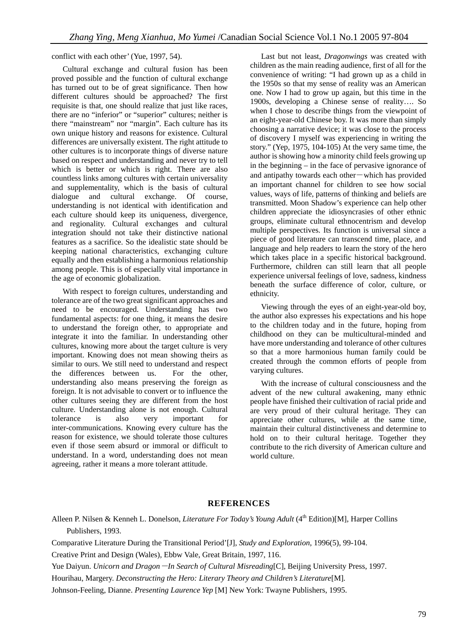conflict with each other' (Yue, 1997, 54).

Cultural exchange and cultural fusion has been proved possible and the function of cultural exchange has turned out to be of great significance. Then how different cultures should be approached? The first requisite is that, one should realize that just like races, there are no "inferior" or "superior" cultures; neither is there "mainstream" nor "margin". Each culture has its own unique history and reasons for existence. Cultural differences are universally existent. The right attitude to other cultures is to incorporate things of diverse nature based on respect and understanding and never try to tell which is better or which is right. There are also countless links among cultures with certain universality and supplementality, which is the basis of cultural dialogue and cultural exchange. Of course, understanding is not identical with identification and each culture should keep its uniqueness, divergence, and regionality. Cultural exchanges and cultural integration should not take their distinctive national features as a sacrifice. So the idealistic state should be keeping national characteristics, exchanging culture equally and then establishing a harmonious relationship among people. This is of especially vital importance in the age of economic globalization.

With respect to foreign cultures, understanding and tolerance are of the two great significant approaches and need to be encouraged. Understanding has two fundamental aspects: for one thing, it means the desire to understand the foreign other, to appropriate and integrate it into the familiar. In understanding other cultures, knowing more about the target culture is very important. Knowing does not mean showing theirs as similar to ours. We still need to understand and respect the differences between us. For the other, understanding also means preserving the foreign as foreign. It is not advisable to convert or to influence the other cultures seeing they are different from the host culture. Understanding alone is not enough. Cultural tolerance is also very important for inter-communications. Knowing every culture has the reason for existence, we should tolerate those cultures even if those seem absurd or immoral or difficult to understand. In a word, understanding does not mean agreeing, rather it means a more tolerant attitude.

Last but not least, *Dragonwings* was created with children as the main reading audience, first of all for the convenience of writing: "I had grown up as a child in the 1950s so that my sense of reality was an American one. Now I had to grow up again, but this time in the 1900s, developing a Chinese sense of reality…. So when I chose to describe things from the viewpoint of an eight-year-old Chinese boy. It was more than simply choosing a narrative device; it was close to the process of discovery I myself was experiencing in writing the story." (Yep, 1975, 104-105) At the very same time, the author is showing how a minority child feels growing up in the beginning – in the face of pervasive ignorance of and antipathy towards each other―which has provided an important channel for children to see how social values, ways of life, patterns of thinking and beliefs are transmitted. Moon Shadow's experience can help other children appreciate the idiosyncrasies of other ethnic groups, eliminate cultural ethnocentrism and develop multiple perspectives. Its function is universal since a piece of good literature can transcend time, place, and language and help readers to learn the story of the hero which takes place in a specific historical background. Furthermore, children can still learn that all people experience universal feelings of love, sadness, kindness beneath the surface difference of color, culture, or ethnicity.

Viewing through the eyes of an eight-year-old boy, the author also expresses his expectations and his hope to the children today and in the future, hoping from childhood on they can be multicultural-minded and have more understanding and tolerance of other cultures so that a more harmonious human family could be created through the common efforts of people from varying cultures.

With the increase of cultural consciousness and the advent of the new cultural awakening, many ethnic people have finished their cultivation of racial pride and are very proud of their cultural heritage. They can appreciate other cultures, while at the same time, maintain their cultural distinctiveness and determine to hold on to their cultural heritage. Together they contribute to the rich diversity of American culture and world culture.

#### **REFERENCES**

Alleen P. Nilsen & Kenneh L. Donelson, *Literature For Today's Young Adult* (4<sup>th</sup> Edition)[M], Harper Collins Publishers, 1993.

Comparative Literature During the Transitional Period'[J], *Study and Exploration*, 1996(5), 99-104.

Creative Print and Design (Wales)*,* Ebbw Vale, Great Britain, 1997, 116.

Yue Daiyun. *Unicorn and Dragon* —*In Search of Cultural Misreading*[C], Beijing University Press, 1997.

Hourihau, Margery. *Deconstructing the Hero: Literary Theory and Children's Literature*[M]*.* 

Johnson-Feeling, Dianne. *Presenting Laurence Yep* [M] New York: Twayne Publishers, 1995.